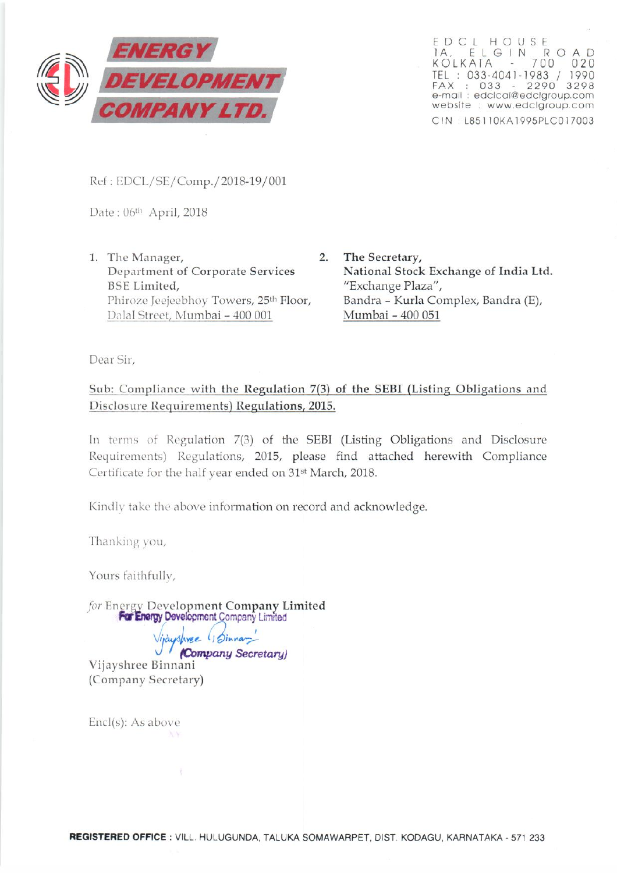

<sup>r</sup> <sup>o</sup> <sup>c</sup> i HOUSE 1A, E l GIN R 0 A D KOLKATA - 700 02 TEL: 033-4041-1983 / 1990 FAX: 033 - 2290 3298 e-mail ·edclcol@edclgroup.com website : www.edclgroup.com C IN: l851 1OKA 1995PlCO 17003

Ref: EDCL/SE/Comp./2018-19/001

Date: 06<sup>th</sup> April, 2018

- 1. The Manager, 2. Department of Corporate Services BSE Limited, Phiroze Jeejeebhoy Towers, 25<sup>th</sup> Floor, Dalal Street, Mumbai - 400 001
	- The Secretary, National Stock Exchange of India Ltd. "Exchange Plaza", Bandra - Kurla Complex, Bandra (E), Murnbai - 400 051

Dear Sir,

Sub: Compliance with the Regulation 7(3) of the SEBI (Listing Obligations and Disclosure Requirements) Regulations, 2015.

In terms of Regulation 7(3) of the SEBI (Listing Obligations and Disclosure Requirements) Regulations, 2015, please find attached herewith Compliance Certificate for the half year ended on 31<sup>st</sup> March, 2018.

Kindly take the above information on record and acknowledge.

Thanking you,

Yours faithfully,

for Energy Development Company Limited For Energy Development Company Limited

*<u>Vijaushvee</u>* (Joinnan) *-J (Company Secretary)* Vijayshrec Binnani (Company Secretary)

Encl(s): As above